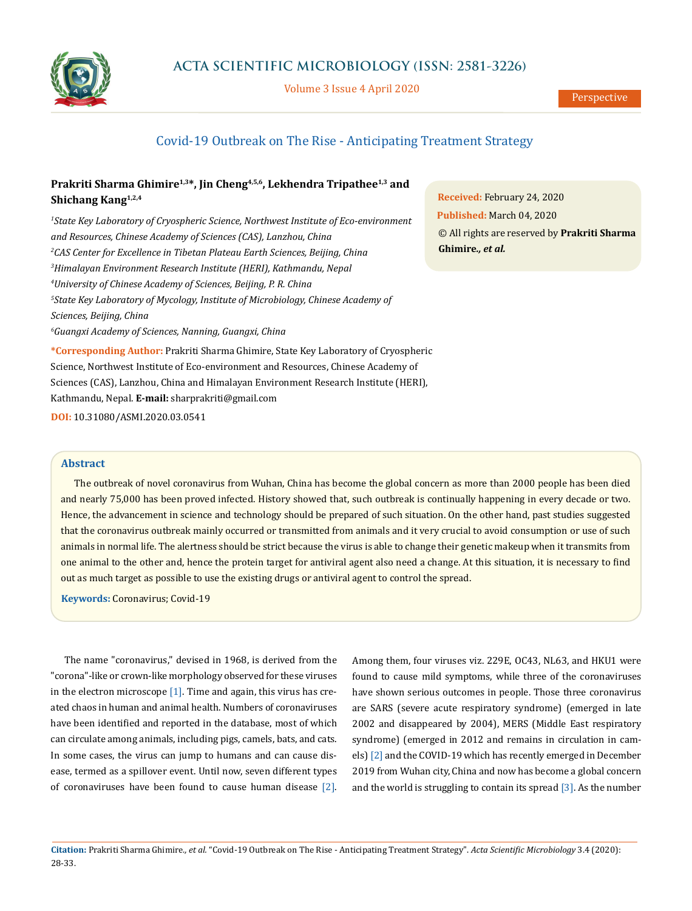

Volume 3 Issue 4 April 2020

# Covid-19 Outbreak on The Rise - Anticipating Treatment Strategy

## Prakriti Sharma Ghimire<sup>1,3\*</sup>, Jin Cheng<sup>4,5,6</sup>, Lekhendra Tripathee<sup>1,3</sup> and **Shichang Kang1,2,4**

 *State Key Laboratory of Cryospheric Science, Northwest Institute of Eco-environment and Resources, Chinese Academy of Sciences (CAS), Lanzhou, China CAS Center for Excellence in Tibetan Plateau Earth Sciences, Beijing, China Himalayan Environment Research Institute (HERI), Kathmandu, Nepal University of Chinese Academy of Sciences, Beijing, P. R. China State Key Laboratory of Mycology, Institute of Microbiology, Chinese Academy of Sciences, Beijing, China Guangxi Academy of Sciences, Nanning, Guangxi, China*

**Received:** February 24, 2020 **Published:** March 04, 2020 © All rights are reserved by **Prakriti Sharma Ghimire***., et al.*

**\*Corresponding Author:** Prakriti Sharma Ghimire, State Key Laboratory of Cryospheric Science, Northwest Institute of Eco-environment and Resources, Chinese Academy of Sciences (CAS), Lanzhou, China and Himalayan Environment Research Institute (HERI), Kathmandu, Nepal. **E-mail:** [sharprakriti@gmail.com](mailto:%20sharprakriti%40gmail.com?subject=)

**DOI:** [10.31080/ASMI.2020.03.05](https://actascientific.com/ASMI/pdf/ASMI-03-0541.pdf)41

#### **Abstract**

The outbreak of novel coronavirus from Wuhan, China has become the global concern as more than 2000 people has been died and nearly 75,000 has been proved infected. History showed that, such outbreak is continually happening in every decade or two. Hence, the advancement in science and technology should be prepared of such situation. On the other hand, past studies suggested that the coronavirus outbreak mainly occurred or transmitted from animals and it very crucial to avoid consumption or use of such animals in normal life. The alertness should be strict because the virus is able to change their genetic makeup when it transmits from one animal to the other and, hence the protein target for antiviral agent also need a change. At this situation, it is necessary to find out as much target as possible to use the existing drugs or antiviral agent to control the spread.

**Keywords:** Coronavirus; Covid-19

The name "coronavirus," devised in 1968, is derived from the "corona"-like or crown-like morphology observed for these viruses in the electron microscope [1]. Time and again, this virus has created chaos in human and animal health. Numbers of coronaviruses have been identified and reported in the database, most of which can circulate among animals, including pigs, camels, bats, and cats. In some cases, the virus can jump to humans and can cause disease, termed as a spillover event. Until now, seven different types of coronaviruses have been found to cause human disease [2]. Among them, four viruses viz. 229E, OC43, NL63, and HKU1 were found to cause mild symptoms, while three of the coronaviruses have shown serious outcomes in people. Those three coronavirus are SARS (severe acute respiratory syndrome) (emerged in late 2002 and disappeared by 2004), MERS (Middle East respiratory syndrome) (emerged in 2012 and remains in circulation in camels) [2] and the COVID-19 which has recently emerged in December 2019 from Wuhan city, China and now has become a global concern and the world is struggling to contain its spread [3]. As the number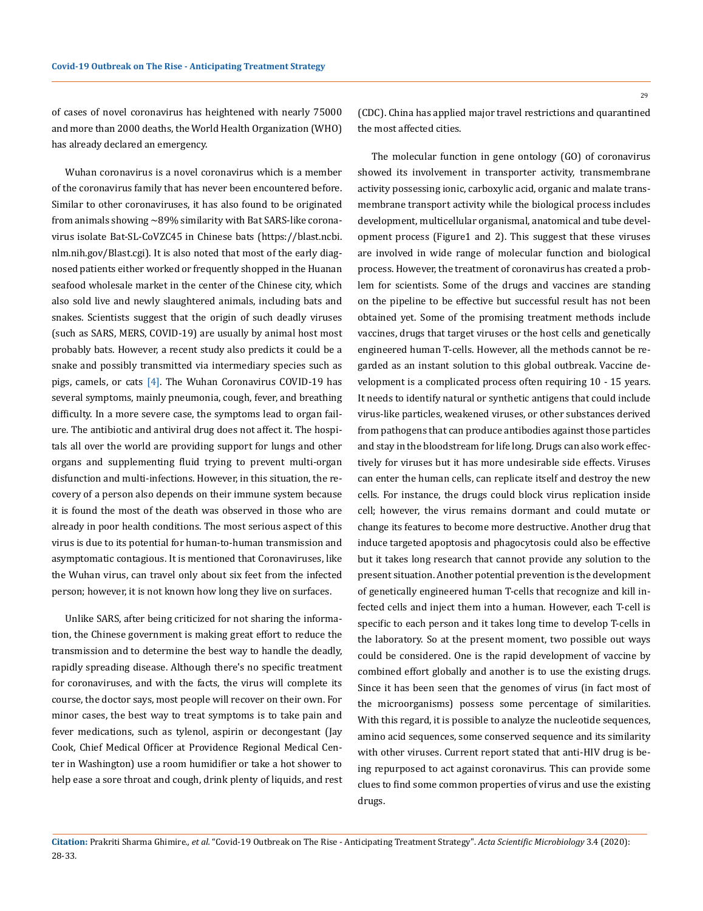of cases of novel coronavirus has heightened with nearly 75000 and more than 2000 deaths, the World Health Organization (WHO) has already declared an emergency.

Wuhan coronavirus is a novel coronavirus which is a member of the coronavirus family that has never been encountered before. Similar to other coronaviruses, it has also found to be originated from animals showing ~89% similarity with Bat SARS-like coronavirus isolate Bat-SL-CoVZC45 in Chinese bats (https://blast.ncbi. nlm.nih.gov/Blast.cgi). It is also noted that most of the early diagnosed patients either worked or frequently shopped in the Huanan seafood wholesale market in the center of the Chinese city, which also sold live and newly slaughtered animals, including bats and snakes. Scientists suggest that the origin of such deadly viruses (such as SARS, MERS, COVID-19) are usually by animal host most probably bats. However, a recent study also predicts it could be a snake and possibly transmitted via intermediary species such as pigs, camels, or cats [4]. The Wuhan Coronavirus COVID-19 has several symptoms, mainly pneumonia, cough, fever, and breathing difficulty. In a more severe case, the symptoms lead to organ failure. The antibiotic and antiviral drug does not affect it. The hospitals all over the world are providing support for lungs and other organs and supplementing fluid trying to prevent multi-organ disfunction and multi-infections. However, in this situation, the recovery of a person also depends on their immune system because it is found the most of the death was observed in those who are already in poor health conditions. The most serious aspect of this virus is due to its potential for human-to-human transmission and asymptomatic contagious. It is mentioned that Coronaviruses, like the Wuhan virus, can travel only about six feet from the infected person; however, it is not known how long they live on surfaces.

Unlike SARS, after being criticized for not sharing the information, the Chinese government is making great effort to reduce the transmission and to determine the best way to handle the deadly, rapidly spreading disease. Although there's no specific treatment for coronaviruses, and with the facts, the virus will complete its course, the doctor says, most people will recover on their own. For minor cases, the best way to treat symptoms is to take pain and fever medications, such as tylenol, aspirin or decongestant (Jay Cook, Chief Medical Officer at Providence Regional Medical Center in Washington) use a room humidifier or take a hot shower to help ease a sore throat and cough, drink plenty of liquids, and rest

The molecular function in gene ontology (GO) of coronavirus showed its involvement in transporter activity, transmembrane activity possessing ionic, carboxylic acid, organic and malate transmembrane transport activity while the biological process includes development, multicellular organismal, anatomical and tube development process (Figure1 and 2). This suggest that these viruses are involved in wide range of molecular function and biological process. However, the treatment of coronavirus has created a problem for scientists. Some of the drugs and vaccines are standing on the pipeline to be effective but successful result has not been obtained yet. Some of the promising treatment methods include vaccines, drugs that target viruses or the host cells and genetically engineered human T-cells. However, all the methods cannot be regarded as an instant solution to this global outbreak. Vaccine development is a complicated process often requiring 10 - 15 years. It needs to identify natural or synthetic antigens that could include virus-like particles, weakened viruses, or other substances derived from pathogens that can produce antibodies against those particles and stay in the bloodstream for life long. Drugs can also work effectively for viruses but it has more undesirable side effects. Viruses can enter the human cells, can replicate itself and destroy the new cells. For instance, the drugs could block virus replication inside cell; however, the virus remains dormant and could mutate or change its features to become more destructive. Another drug that induce targeted apoptosis and phagocytosis could also be effective but it takes long research that cannot provide any solution to the present situation. Another potential prevention is the development of genetically engineered human T-cells that recognize and kill infected cells and inject them into a human. However, each T-cell is specific to each person and it takes long time to develop T-cells in the laboratory. So at the present moment, two possible out ways could be considered. One is the rapid development of vaccine by combined effort globally and another is to use the existing drugs. Since it has been seen that the genomes of virus (in fact most of the microorganisms) possess some percentage of similarities. With this regard, it is possible to analyze the nucleotide sequences, amino acid sequences, some conserved sequence and its similarity with other viruses. Current report stated that anti-HIV drug is being repurposed to act against coronavirus. This can provide some clues to find some common properties of virus and use the existing drugs.

**Citation:** Prakriti Sharma Ghimire*., et al.* "Covid-19 Outbreak on The Rise - Anticipating Treatment Strategy". *Acta Scientific Microbiology* 3.4 (2020): 28-33.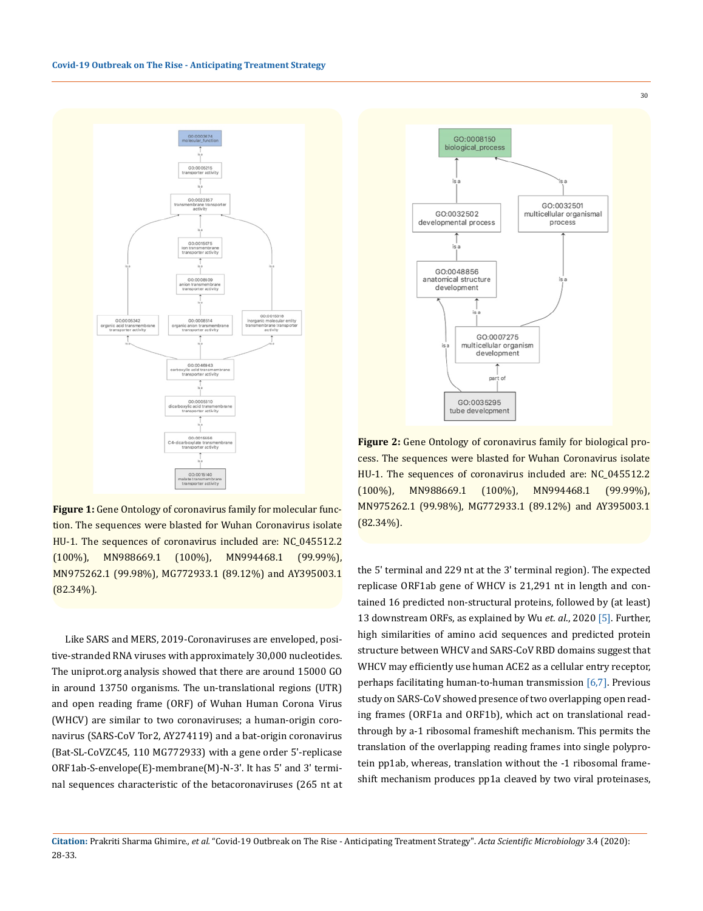

**Figure 1:** Gene Ontology of coronavirus family for molecular function. The sequences were blasted for Wuhan Coronavirus isolate HU-1. The sequences of coronavirus included are: NC\_045512.2 (100%), MN988669.1 (100%), MN994468.1 (99.99%), MN975262.1 (99.98%), MG772933.1 (89.12%) and AY395003.1  $(82.34\%)$ .

Like SARS and MERS, 2019-Coronaviruses are enveloped, positive-stranded RNA viruses with approximately 30,000 nucleotides. The uniprot.org analysis showed that there are around 15000 GO in around 13750 organisms. The un-translational regions (UTR) and open reading frame (ORF) of Wuhan Human Corona Virus (WHCV) are similar to two coronaviruses; a human-origin coronavirus (SARS-CoV Tor2, AY274119) and a bat-origin coronavirus (Bat-SL-CoVZC45, 110 MG772933) with a gene order 5'-replicase ORF1ab-S-envelope(E)-membrane(M)-N-3'. It has 5' and 3' terminal sequences characteristic of the betacoronaviruses (265 nt at



**Figure 2:** Gene Ontology of coronavirus family for biological process. The sequences were blasted for Wuhan Coronavirus isolate HU-1. The sequences of coronavirus included are: NC\_045512.2 (100%), MN988669.1 (100%), MN994468.1 (99.99%), MN975262.1 (99.98%), MG772933.1 (89.12%) and AY395003.1  $(82.34\%)$ .

the 5' terminal and 229 nt at the 3' terminal region). The expected replicase ORF1ab gene of WHCV is 21,291 nt in length and contained 16 predicted non-structural proteins, followed by (at least) 13 downstream ORFs, as explained by Wu *et. al*., 2020 [5]. Further, high similarities of amino acid sequences and predicted protein structure between WHCV and SARS-CoV RBD domains suggest that WHCV may efficiently use human ACE2 as a cellular entry receptor, perhaps facilitating human-to-human transmission [6,7]. Previous study on SARS-CoV showed presence of two overlapping open reading frames (ORF1a and ORF1b), which act on translational readthrough by a-1 ribosomal frameshift mechanism. This permits the translation of the overlapping reading frames into single polyprotein pp1ab, whereas, translation without the -1 ribosomal frameshift mechanism produces pp1a cleaved by two viral proteinases,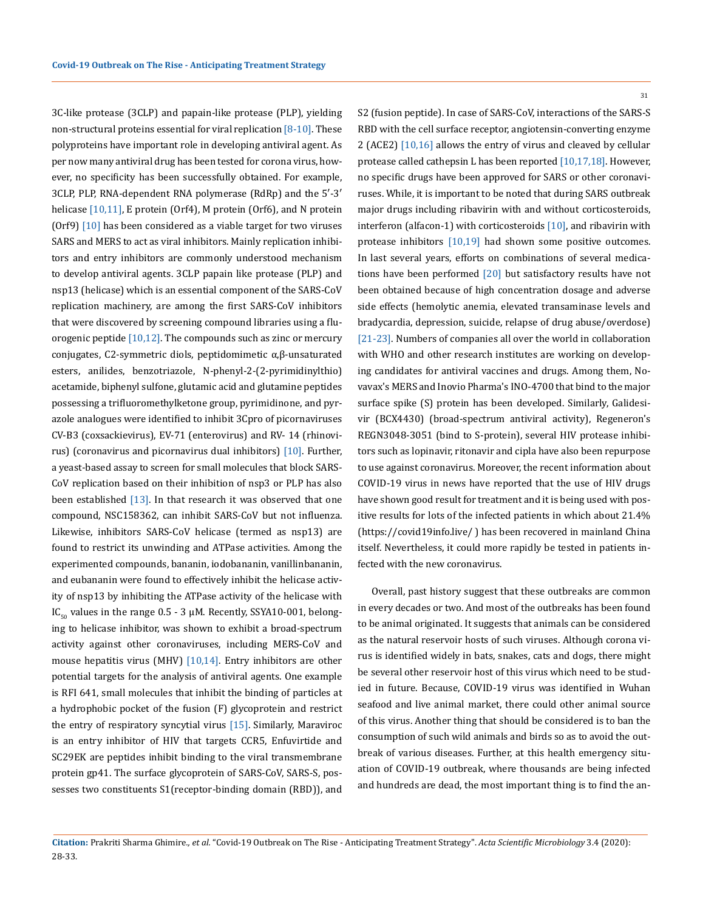3C-like protease (3CLP) and papain-like protease (PLP), yielding non-structural proteins essential for viral replication  $[8-10]$ . These polyproteins have important role in developing antiviral agent. As per now many antiviral drug has been tested for corona virus, however, no specificity has been successfully obtained. For example, 3CLP, PLP, RNA-dependent RNA polymerase (RdRp) and the 5′-3′ helicase [10,11], E protein (Orf4), M protein (Orf6), and N protein (Orf9)  $[10]$  has been considered as a viable target for two viruses SARS and MERS to act as viral inhibitors. Mainly replication inhibitors and entry inhibitors are commonly understood mechanism to develop antiviral agents. 3CLP papain like protease (PLP) and nsp13 (helicase) which is an essential component of the SARS-CoV replication machinery, are among the first SARS-CoV inhibitors that were discovered by screening compound libraries using a fluorogenic peptide [10,12]. The compounds such as zinc or mercury conjugates, C2-symmetric diols, peptidomimetic α,β-unsaturated esters, anilides, benzotriazole, N-phenyl-2-(2-pyrimidinylthio) acetamide, biphenyl sulfone, glutamic acid and glutamine peptides possessing a trifluoromethylketone group, pyrimidinone, and pyrazole analogues were identified to inhibit 3Cpro of picornaviruses CV-B3 (coxsackievirus), EV-71 (enterovirus) and RV- 14 (rhinovirus) (coronavirus and picornavirus dual inhibitors) [10]. Further, a yeast-based assay to screen for small molecules that block SARS-CoV replication based on their inhibition of nsp3 or PLP has also been established  $[13]$ . In that research it was observed that one compound, NSC158362, can inhibit SARS-CoV but not influenza. Likewise, inhibitors SARS-CoV helicase (termed as nsp13) are found to restrict its unwinding and ATPase activities. Among the experimented compounds, bananin, iodobananin, vanillinbananin, and eubananin were found to effectively inhibit the helicase activity of nsp13 by inhibiting the ATPase activity of the helicase with IC<sub>50</sub> values in the range  $0.5 - 3 \mu$ M. Recently, SSYA10-001, belonging to helicase inhibitor, was shown to exhibit a broad-spectrum activity against other coronaviruses, including MERS-CoV and mouse hepatitis virus (MHV) [10,14]. Entry inhibitors are other potential targets for the analysis of antiviral agents. One example is RFI 641, small molecules that inhibit the binding of particles at a hydrophobic pocket of the fusion (F) glycoprotein and restrict the entry of respiratory syncytial virus [15]. Similarly, Maraviroc is an entry inhibitor of HIV that targets CCR5, Enfuvirtide and SC29EK are peptides inhibit binding to the viral transmembrane protein gp41. The surface glycoprotein of SARS-CoV, SARS-S, possesses two constituents S1(receptor-binding domain (RBD)), and

S2 (fusion peptide). In case of SARS-CoV, interactions of the SARS-S RBD with the cell surface receptor, angiotensin-converting enzyme 2 (ACE2) [10,16] allows the entry of virus and cleaved by cellular protease called cathepsin L has been reported [10,17,18]. However, no specific drugs have been approved for SARS or other coronaviruses. While, it is important to be noted that during SARS outbreak major drugs including ribavirin with and without corticosteroids, interferon (alfacon-1) with corticosteroids [10], and ribavirin with protease inhibitors [10,19] had shown some positive outcomes. In last several years, efforts on combinations of several medications have been performed [20] but satisfactory results have not been obtained because of high concentration dosage and adverse side effects (hemolytic anemia, elevated transaminase levels and bradycardia, depression, suicide, relapse of drug abuse/overdose) [21-23]. Numbers of companies all over the world in collaboration with WHO and other research institutes are working on developing candidates for antiviral vaccines and drugs. Among them, Novavax's MERS and Inovio Pharma's INO-4700 that bind to the major surface spike (S) protein has been developed. Similarly, Galidesivir (BCX4430) (broad-spectrum antiviral activity), Regeneron's REGN3048-3051 (bind to S-protein), several HIV protease inhibitors such as lopinavir, ritonavir and cipla have also been repurpose to use against coronavirus. Moreover, the recent information about COVID-19 virus in news have reported that the use of HIV drugs have shown good result for treatment and it is being used with positive results for lots of the infected patients in which about 21.4% (https://covid19info.live/ ) has been recovered in mainland China itself. Nevertheless, it could more rapidly be tested in patients infected with the new coronavirus.

Overall, past history suggest that these outbreaks are common in every decades or two. And most of the outbreaks has been found to be animal originated. It suggests that animals can be considered as the natural reservoir hosts of such viruses. Although corona virus is identified widely in bats, snakes, cats and dogs, there might be several other reservoir host of this virus which need to be studied in future. Because, COVID-19 virus was identified in Wuhan seafood and live animal market, there could other animal source of this virus. Another thing that should be considered is to ban the consumption of such wild animals and birds so as to avoid the outbreak of various diseases. Further, at this health emergency situation of COVID-19 outbreak, where thousands are being infected and hundreds are dead, the most important thing is to find the an-

**Citation:** Prakriti Sharma Ghimire*., et al.* "Covid-19 Outbreak on The Rise - Anticipating Treatment Strategy". *Acta Scientific Microbiology* 3.4 (2020): 28-33.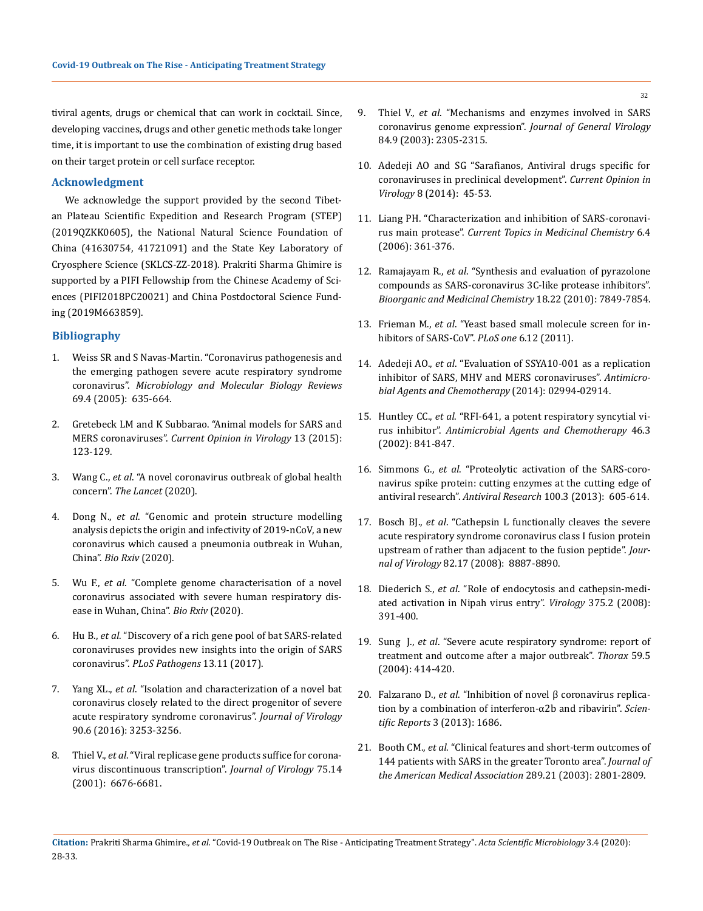tiviral agents, drugs or chemical that can work in cocktail. Since, developing vaccines, drugs and other genetic methods take longer time, it is important to use the combination of existing drug based on their target protein or cell surface receptor.

#### **Acknowledgment**

We acknowledge the support provided by the second Tibetan Plateau Scientific Expedition and Research Program (STEP) (2019QZKK0605), the National Natural Science Foundation of China (41630754, 41721091) and the State Key Laboratory of Cryosphere Science (SKLCS-ZZ-2018). Prakriti Sharma Ghimire is supported by a PIFI Fellowship from the Chinese Academy of Sciences (PIFI2018PC20021) and China Postdoctoral Science Funding (2019M663859).

#### **Bibliography**

- 1. [Weiss SR and S Navas-Martin. "Coronavirus pathogenesis and](https://www.ncbi.nlm.nih.gov/pmc/articles/PMC1306801/)  [the emerging pathogen severe acute respiratory syndrome](https://www.ncbi.nlm.nih.gov/pmc/articles/PMC1306801/)  coronavirus". *[Microbiology and Molecular Biology Reviews](https://www.ncbi.nlm.nih.gov/pmc/articles/PMC1306801/)*  [69.4 \(2005\): 635-664.](https://www.ncbi.nlm.nih.gov/pmc/articles/PMC1306801/)
- 2. [Gretebeck LM and K Subbarao. "Animal models for SARS and](https://www.sciencedirect.com/science/article/pii/S187962571500098X)  MERS coronaviruses". *[Current Opinion in Virology](https://www.sciencedirect.com/science/article/pii/S187962571500098X)* 13 (2015): [123-129.](https://www.sciencedirect.com/science/article/pii/S187962571500098X)
- 3. Wang C., *et al*[. "A novel coronavirus outbreak of global health](https://www.thelancet.com/journals/lancet/article/PIIS0140-6736(20)30185-9/fulltext)  concern". *[The Lancet](https://www.thelancet.com/journals/lancet/article/PIIS0140-6736(20)30185-9/fulltext)* (2020).
- 4. Dong N., *et al*[. "Genomic and protein structure modelling](https://www.biorxiv.org/content/10.1101/2020.01.20.913368v2)  [analysis depicts the origin and infectivity of 2019-nCoV, a new](https://www.biorxiv.org/content/10.1101/2020.01.20.913368v2)  [coronavirus which caused a pneumonia outbreak in Wuhan,](https://www.biorxiv.org/content/10.1101/2020.01.20.913368v2)  China". *[Bio Rxiv](https://www.biorxiv.org/content/10.1101/2020.01.20.913368v2)* (2020).
- 5. Wu F., *et al*[. "Complete genome characterisation of a novel](https://www.biorxiv.org/content/10.1101/2020.01.24.919183v2)  [coronavirus associated with severe human respiratory dis](https://www.biorxiv.org/content/10.1101/2020.01.24.919183v2)[ease in Wuhan, China".](https://www.biorxiv.org/content/10.1101/2020.01.24.919183v2) *Bio Rxiv* (2020).
- 6. Hu B., *et al*[. "Discovery of a rich gene pool of bat SARS-related](https://journals.plos.org/plospathogens/article?id=10.1371/journal.ppat.1006698)  [coronaviruses provides new insights into the origin of SARS](https://journals.plos.org/plospathogens/article?id=10.1371/journal.ppat.1006698)  coronavirus". *[PLoS Pathogens](https://journals.plos.org/plospathogens/article?id=10.1371/journal.ppat.1006698)* 13.11 (2017).
- 7. Yang XL., *et al*[. "Isolation and characterization of a novel bat](https://www.ncbi.nlm.nih.gov/pubmed/26719272)  [coronavirus closely related to the direct progenitor of severe](https://www.ncbi.nlm.nih.gov/pubmed/26719272)  [acute respiratory syndrome coronavirus".](https://www.ncbi.nlm.nih.gov/pubmed/26719272) *Journal of Virology* [90.6 \(2016\): 3253-3256.](https://www.ncbi.nlm.nih.gov/pubmed/26719272)
- 8. Thiel V., *et al*[. "Viral replicase gene products suffice for corona](https://www.ncbi.nlm.nih.gov/pmc/articles/PMC114390/)[virus discontinuous transcription".](https://www.ncbi.nlm.nih.gov/pmc/articles/PMC114390/) *Journal of Virology* 75.14 [\(2001\): 6676-6681.](https://www.ncbi.nlm.nih.gov/pmc/articles/PMC114390/)
- 9. Thiel V., *et al*[. "Mechanisms and enzymes involved in SARS](https://www.ncbi.nlm.nih.gov/pubmed/12917450)  [coronavirus genome expression".](https://www.ncbi.nlm.nih.gov/pubmed/12917450) *Journal of General Virology* [84.9 \(2003\): 2305-2315.](https://www.ncbi.nlm.nih.gov/pubmed/12917450)
- 10. [Adedeji AO and SG "Sarafianos, Antiviral drugs specific for](https://www.ncbi.nlm.nih.gov/pmc/articles/PMC4195804/)  [coronaviruses in preclinical development".](https://www.ncbi.nlm.nih.gov/pmc/articles/PMC4195804/) *Current Opinion in Virology* [8 \(2014\): 45-53.](https://www.ncbi.nlm.nih.gov/pmc/articles/PMC4195804/)
- 11. [Liang PH. "Characterization and inhibition of SARS-coronavi](http://www.eurekaselect.com/56905/article)rus main protease". *[Current Topics in Medicinal Chemistry](http://www.eurekaselect.com/56905/article)* 6.4 [\(2006\): 361-376.](http://www.eurekaselect.com/56905/article)
- 12. Ramajayam R., *et al*[. "Synthesis and evaluation of pyrazolone](https://www.sciencedirect.com/science/article/pii/S0968089610008874)  [compounds as SARS-coronavirus 3C-like protease inhibitors".](https://www.sciencedirect.com/science/article/pii/S0968089610008874)  *[Bioorganic and Medicinal Chemistry](https://www.sciencedirect.com/science/article/pii/S0968089610008874)* 18.22 (2010): 7849-7854.
- 13. Frieman M., *et al*[. "Yeast based small molecule screen for in](https://www.ncbi.nlm.nih.gov/pubmed/22164298)[hibitors of SARS-CoV".](https://www.ncbi.nlm.nih.gov/pubmed/22164298) *PLoS one* 6.12 (2011).
- 14. Adedeji AO., *et al*[. "Evaluation of SSYA10-001 as a replication](https://aac.asm.org/content/58/8/4894)  [inhibitor of SARS, MHV and MERS coronaviruses".](https://aac.asm.org/content/58/8/4894) *Antimicro[bial Agents and Chemotherapy](https://aac.asm.org/content/58/8/4894)* (2014): 02994-02914.
- 15. Huntley CC., *et al*[. "RFI-641, a potent respiratory syncytial vi](https://www.ncbi.nlm.nih.gov/pubmed/11850270)rus inhibitor". *[Antimicrobial Agents and Chemotherapy](https://www.ncbi.nlm.nih.gov/pubmed/11850270)* 46.3 [\(2002\): 841-847.](https://www.ncbi.nlm.nih.gov/pubmed/11850270)
- 16. Simmons G., *et al*[. "Proteolytic activation of the SARS-coro](https://www.ncbi.nlm.nih.gov/pubmed/24121034)[navirus spike protein: cutting enzymes at the cutting edge of](https://www.ncbi.nlm.nih.gov/pubmed/24121034)  antiviral research". *Antiviral Research* [100.3 \(2013\): 605-614.](https://www.ncbi.nlm.nih.gov/pubmed/24121034)
- 17. Bosch BJ., *et al*[. "Cathepsin L functionally cleaves the severe](https://jvi.asm.org/content/82/17/8887)  [acute respiratory syndrome coronavirus class I fusion protein](https://jvi.asm.org/content/82/17/8887)  [upstream of rather than adjacent to the fusion peptide".](https://jvi.asm.org/content/82/17/8887) *Journal of Virology* [82.17 \(2008\): 8887-8890.](https://jvi.asm.org/content/82/17/8887)
- 18. Diederich S., *et al*[. "Role of endocytosis and cathepsin-medi](https://www.ncbi.nlm.nih.gov/pubmed/18342904)[ated activation in Nipah virus entry".](https://www.ncbi.nlm.nih.gov/pubmed/18342904) *Virology* 375.2 (2008): [391-400.](https://www.ncbi.nlm.nih.gov/pubmed/18342904)
- 19. Sung J., *et al*[. "Severe acute respiratory syndrome: report of](https://thorax.bmj.com/content/59/5/414)  [treatment and outcome after a major outbreak".](https://thorax.bmj.com/content/59/5/414) *Thorax* 59.5 [\(2004\): 414-420.](https://thorax.bmj.com/content/59/5/414)
- 20. Falzarano D., *et al*[. "Inhibition of novel β coronavirus replica](https://www.ncbi.nlm.nih.gov/pubmed/23594967)[tion by a combination of interferon-α2b and ribavirin".](https://www.ncbi.nlm.nih.gov/pubmed/23594967) *Scientific Reports* [3 \(2013\): 1686.](https://www.ncbi.nlm.nih.gov/pubmed/23594967)
- 21. Booth CM., *et al*[. "Clinical features and short-term outcomes of](https://www.ncbi.nlm.nih.gov/pubmed/12734147)  [144 patients with SARS in the greater Toronto area".](https://www.ncbi.nlm.nih.gov/pubmed/12734147) *Journal of [the American Medical Association](https://www.ncbi.nlm.nih.gov/pubmed/12734147)* 289.21 (2003): 2801-2809.
- **Citation:** Prakriti Sharma Ghimire*., et al.* "Covid-19 Outbreak on The Rise Anticipating Treatment Strategy". *Acta Scientific Microbiology* 3.4 (2020): 28-33.